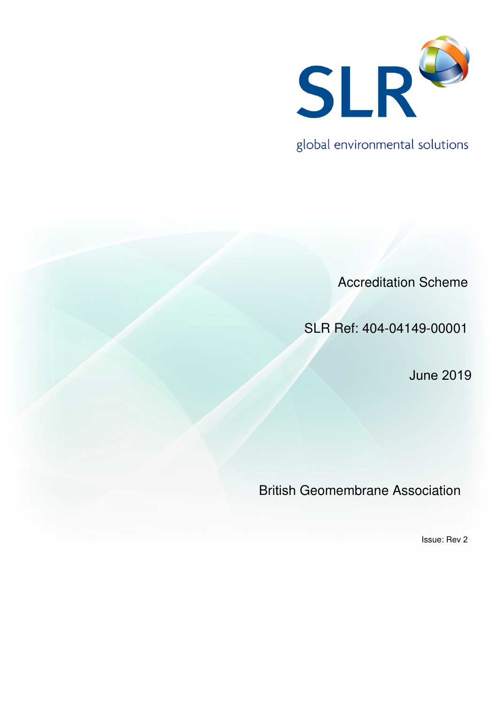

global environmental solutions

Accreditation Scheme

SLR Ref: 404-04149-00001

June 2019

British Geomembrane Association

Issue: Rev 2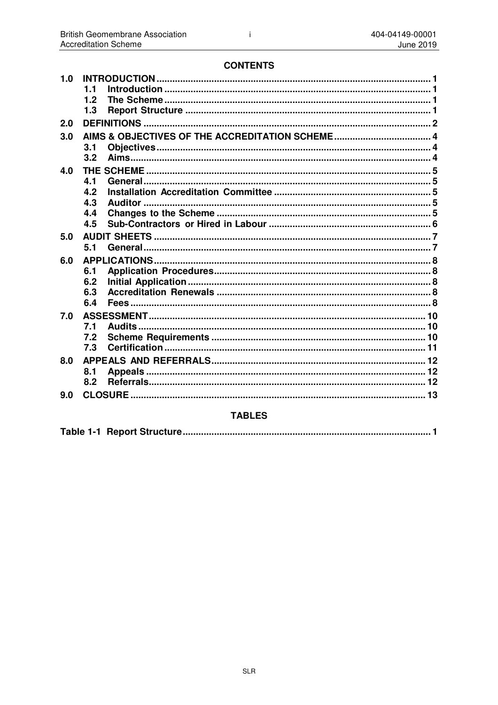# **CONTENTS**

| 1.0 |     |  |  |
|-----|-----|--|--|
|     | 1.1 |  |  |
|     | 1.2 |  |  |
|     | 1.3 |  |  |
| 2.0 |     |  |  |
| 3.0 |     |  |  |
|     | 3.1 |  |  |
|     | 3.2 |  |  |
| 4.0 |     |  |  |
|     | 4.1 |  |  |
|     | 4.2 |  |  |
|     | 4.3 |  |  |
|     | 4.4 |  |  |
|     | 4.5 |  |  |
| 5.0 |     |  |  |
|     | 5.1 |  |  |
| 6.0 |     |  |  |
|     | 6.1 |  |  |
|     | 6.2 |  |  |
|     | 6.3 |  |  |
|     | 6.4 |  |  |
| 7.0 |     |  |  |
|     | 7.1 |  |  |
|     | 7.2 |  |  |
|     | 7.3 |  |  |
| 8.0 |     |  |  |
|     | 8.1 |  |  |
|     | 8.2 |  |  |
| 9.0 |     |  |  |
|     |     |  |  |

# **TABLES**

|--|--|--|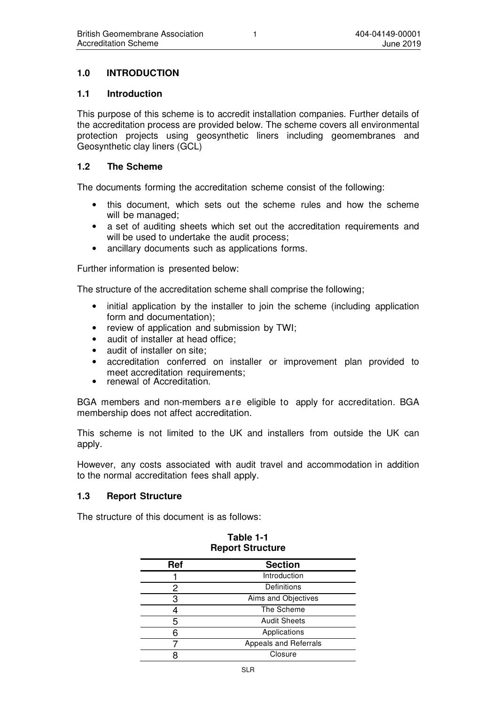# **1.0 INTRODUCTION**

### **1.1 Introduction**

This purpose of this scheme is to accredit installation companies. Further details of the accreditation process are provided below. The scheme covers all environmental protection projects using geosynthetic liners including geomembranes and Geosynthetic clay liners (GCL)

### **1.2 The Scheme**

The documents forming the accreditation scheme consist of the following:

- this document, which sets out the scheme rules and how the scheme will be managed;
- a set of auditing sheets which set out the accreditation requirements and will be used to undertake the audit process;
- ancillary documents such as applications forms.

Further information is presented below:

The structure of the accreditation scheme shall comprise the following;

- initial application by the installer to join the scheme (including application form and documentation);
- review of application and submission by TWI;
- audit of installer at head office:
- audit of installer on site:
- accreditation conferred on installer or improvement plan provided to meet accreditation requirements;
- renewal of Accreditation.

BGA members and non-members a re eligible to apply for accreditation. BGA membership does not affect accreditation.

This scheme is not limited to the UK and installers from outside the UK can apply.

However, any costs associated with audit travel and accommodation in addition to the normal accreditation fees shall apply.

### **1.3 Report Structure**

The structure of this document is as follows:

| Ref | <b>Section</b>        |
|-----|-----------------------|
|     | Introduction          |
| 2   | Definitions           |
| З   | Aims and Objectives   |
|     | The Scheme            |
| 5   | <b>Audit Sheets</b>   |
|     | Applications          |
|     | Appeals and Referrals |
|     | Closure               |

### **Table 1-1 Report Structure**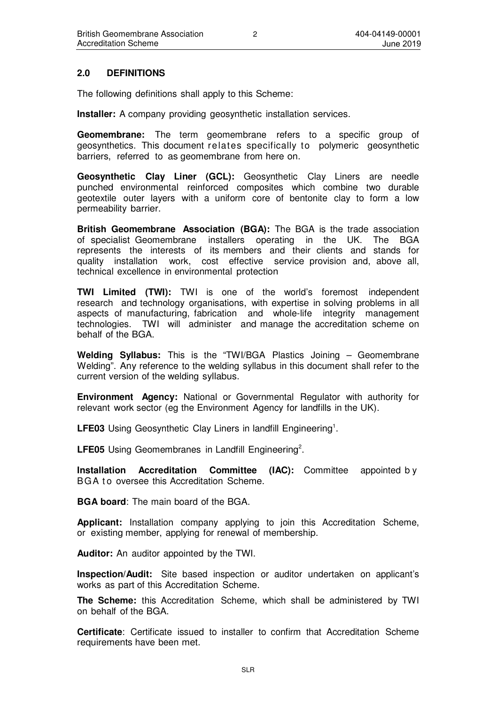### **2.0 DEFINITIONS**

The following definitions shall apply to this Scheme:

**Installer:** A company providing geosynthetic installation services.

**Geomembrane:** The term geomembrane refers to a specific group of geosynthetics. This document relates specifically to polymeric geosynthetic barriers, referred to as geomembrane from here on.

**Geosynthetic Clay Liner (GCL):** Geosynthetic Clay Liners are needle punched environmental reinforced composites which combine two durable geotextile outer layers with a uniform core of bentonite clay to form a low permeability barrier.

**British Geomembrane Association (BGA):** The BGA is the trade association of specialist Geomembrane installers operating in the UK. The BGA represents the interests of its members and their clients and stands for quality installation work, cost effective service provision and, above all, technical excellence in environmental protection

**TWI Limited (TWI):** TWI is one of the world's foremost independent research and technology organisations, with expertise in solving problems in all aspects of manufacturing, fabrication and whole-life integrity management technologies. TWI will administer and manage the accreditation scheme on behalf of the BGA.

**Welding Syllabus:** This is the "TWI/BGA Plastics Joining – Geomembrane Welding". Any reference to the welding syllabus in this document shall refer to the current version of the welding syllabus.

**Environment Agency:** National or Governmental Regulator with authority for relevant work sector (eg the Environment Agency for landfills in the UK).

LFE03 Using Geosynthetic Clay Liners in landfill Engineering<sup>1</sup>.

LFE05 Using Geomembranes in Landfill Engineering<sup>2</sup>.

**Installation Accreditation Committee (IAC):** Committee appointed by BGA to oversee this Accreditation Scheme.

**BGA board**: The main board of the BGA.

**Applicant:** Installation company applying to join this Accreditation Scheme, or existing member, applying for renewal of membership.

**Auditor:** An auditor appointed by the TWI.

**Inspection/Audit:** Site based inspection or auditor undertaken on applicant's works as part of this Accreditation Scheme.

**The Scheme:** this Accreditation Scheme, which shall be administered by TWI on behalf of the BGA.

**Certificate**: Certificate issued to installer to confirm that Accreditation Scheme requirements have been met.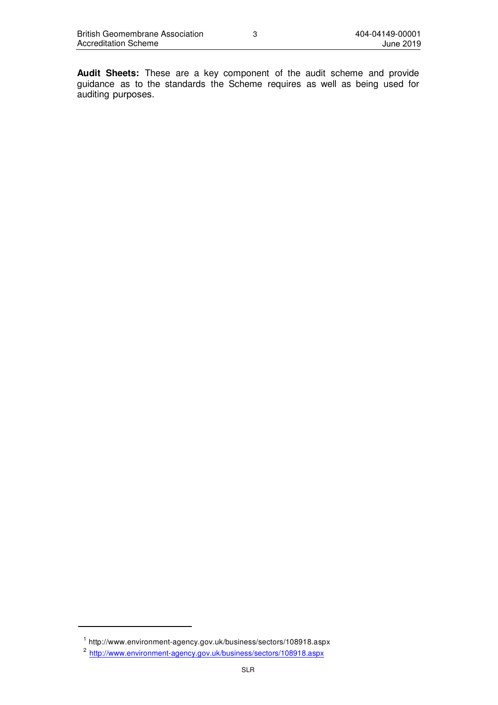**Audit Sheets:** These are a key component of the audit scheme and provide guidance as to the standards the Scheme requires as well as being used for auditing purposes.

 $1$  http://www.environment-agency.gov.uk/business/sectors/108918.aspx

<sup>&</sup>lt;sup>2</sup> http://www.environment-agency.gov.uk/business/sectors/108918.aspx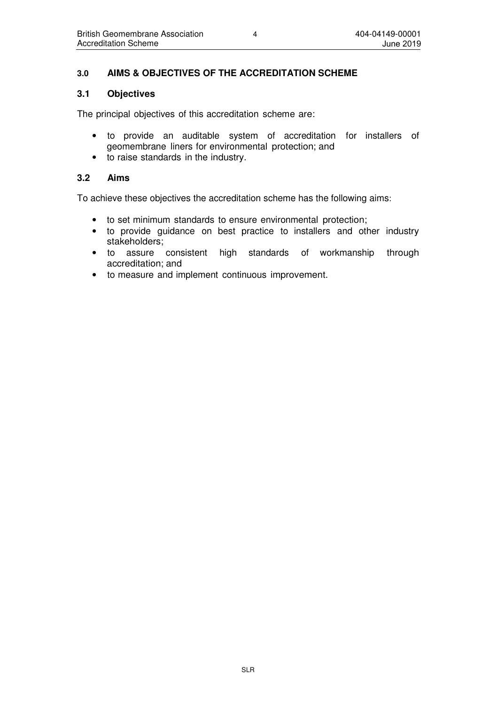# **3.0 AIMS & OBJECTIVES OF THE ACCREDITATION SCHEME**

### **3.1 Objectives**

The principal objectives of this accreditation scheme are:

- to provide an auditable system of accreditation for installers of geomembrane liners for environmental protection; and
- to raise standards in the industry.

### **3.2 Aims**

To achieve these objectives the accreditation scheme has the following aims:

- to set minimum standards to ensure environmental protection;
- to provide guidance on best practice to installers and other industry stakeholders;
- to assure consistent high standards of workmanship through accreditation; and
- to measure and implement continuous improvement.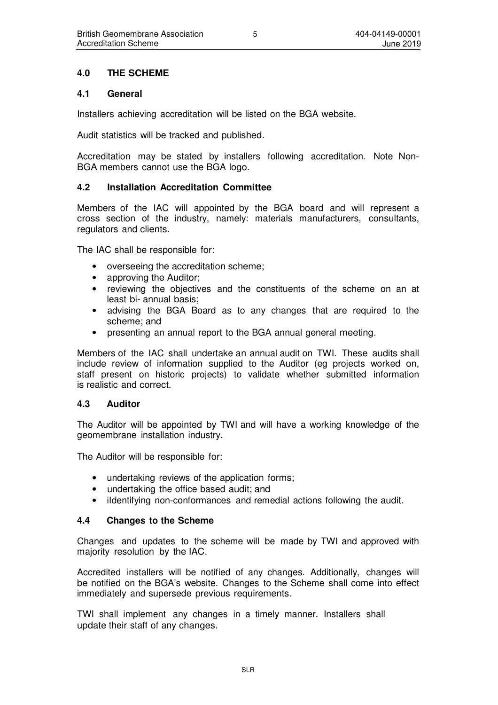### **4.0 THE SCHEME**

### **4.1 General**

Installers achieving accreditation will be listed on the BGA website.

Audit statistics will be tracked and published.

Accreditation may be stated by installers following accreditation. Note Non-BGA members cannot use the BGA logo.

### **4.2 Installation Accreditation Committee**

Members of the IAC will appointed by the BGA board and will represent a cross section of the industry, namely: materials manufacturers, consultants, regulators and clients.

The IAC shall be responsible for:

- overseeing the accreditation scheme;
- approving the Auditor:
- reviewing the objectives and the constituents of the scheme on an at least bi- annual basis;
- advising the BGA Board as to any changes that are required to the scheme; and
- presenting an annual report to the BGA annual general meeting.

Members of the IAC shall undertake an annual audit on TWI. These audits shall include review of information supplied to the Auditor (eg projects worked on, staff present on historic projects) to validate whether submitted information is realistic and correct.

### **4.3 Auditor**

The Auditor will be appointed by TWI and will have a working knowledge of the geomembrane installation industry.

The Auditor will be responsible for:

- undertaking reviews of the application forms;
- undertaking the office based audit; and
- iIdentifying non-conformances and remedial actions following the audit.

### **4.4 Changes to the Scheme**

Changes and updates to the scheme will be made by TWI and approved with majority resolution by the IAC.

Accredited installers will be notified of any changes. Additionally, changes will be notified on the BGA's website. Changes to the Scheme shall come into effect immediately and supersede previous requirements.

TWI shall implement any changes in a timely manner. Installers shall update their staff of any changes.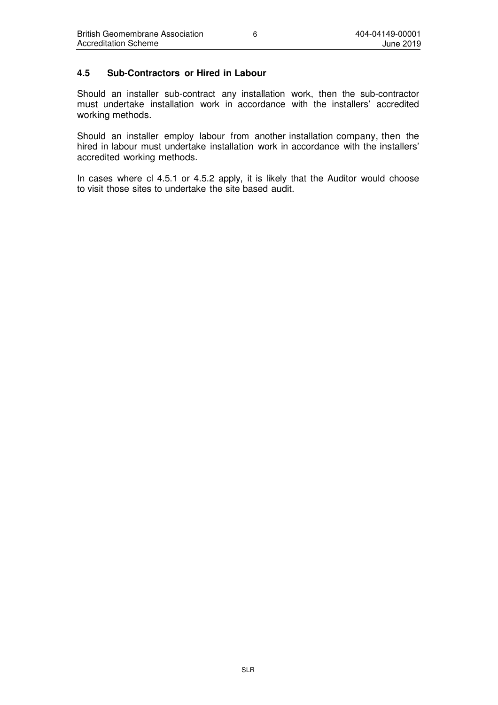### **4.5 Sub-Contractors or Hired in Labour**

Should an installer sub-contract any installation work, then the sub-contractor must undertake installation work in accordance with the installers' accredited working methods.

Should an installer employ labour from another installation company, then the hired in labour must undertake installation work in accordance with the installers' accredited working methods.

In cases where cl 4.5.1 or 4.5.2 apply, it is likely that the Auditor would choose to visit those sites to undertake the site based audit.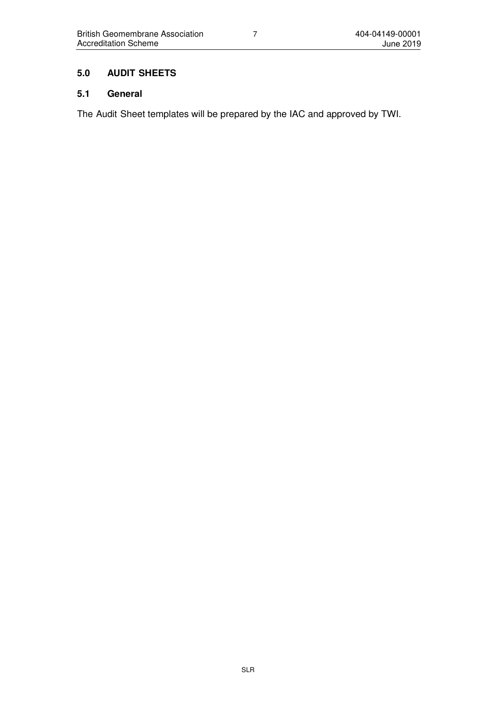# **5.0 AUDIT SHEETS**

# **5.1 General**

The Audit Sheet templates will be prepared by the IAC and approved by TWI.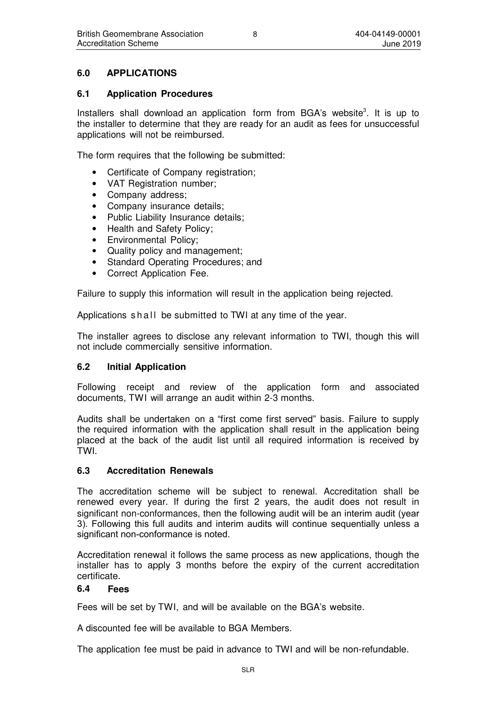# **6.0 APPLICATIONS**

### **6.1 Application Procedures**

Installers shall download an application form from BGA's website $3$ . It is up to the installer to determine that they are ready for an audit as fees for unsuccessful applications will not be reimbursed.

The form requires that the following be submitted:

- Certificate of Company registration;
- VAT Registration number;
- Company address;
- Company insurance details;
- Public Liability Insurance details:
- Health and Safety Policy;
- Environmental Policy;
- Quality policy and management;
- Standard Operating Procedures; and
- Correct Application Fee.

Failure to supply this information will result in the application being rejected.

Applications shall be submitted to TWI at any time of the year.

The installer agrees to disclose any relevant information to TWI, though this will not include commercially sensitive information.

### **6.2 Initial Application**

Following receipt and review of the application form and associated documents, TWI will arrange an audit within 2-3 months.

Audits shall be undertaken on a "first come first served" basis. Failure to supply the required information with the application shall result in the application being placed at the back of the audit list until all required information is received by TWI.

### **6.3 Accreditation Renewals**

The accreditation scheme will be subject to renewal. Accreditation shall be renewed every year. If during the first 2 years, the audit does not result in significant non-conformances, then the following audit will be an interim audit (year 3). Following this full audits and interim audits will continue sequentially unless a significant non-conformance is noted.

Accreditation renewal it follows the same process as new applications, though the installer has to apply 3 months before the expiry of the current accreditation certificate.

### **6.4 Fees**

Fees will be set by TWI, and will be available on the BGA's website.

A discounted fee will be available to BGA Members.

The application fee must be paid in advance to TWI and will be non-refundable.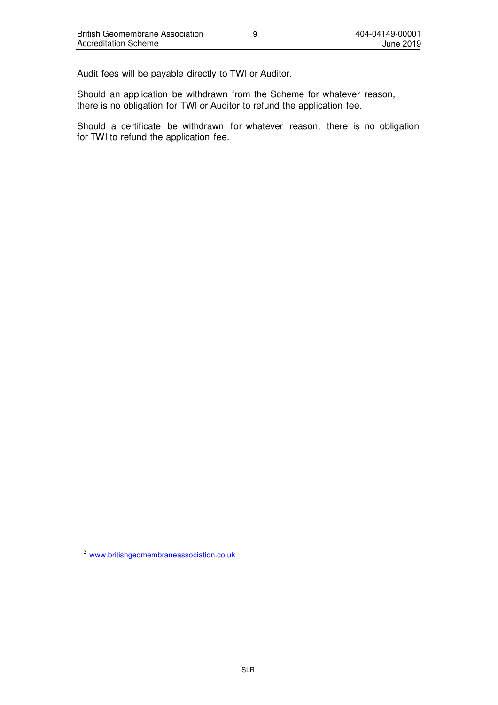Audit fees will be payable directly to TWI or Auditor.

Should an application be withdrawn from the Scheme for whatever reason, there is no obligation for TWI or Auditor to refund the application fee.

Should a certificate be withdrawn for whatever reason, there is no obligation for TWI to refund the application fee.

<sup>3</sup>www.britishgeomembraneassociation.co.uk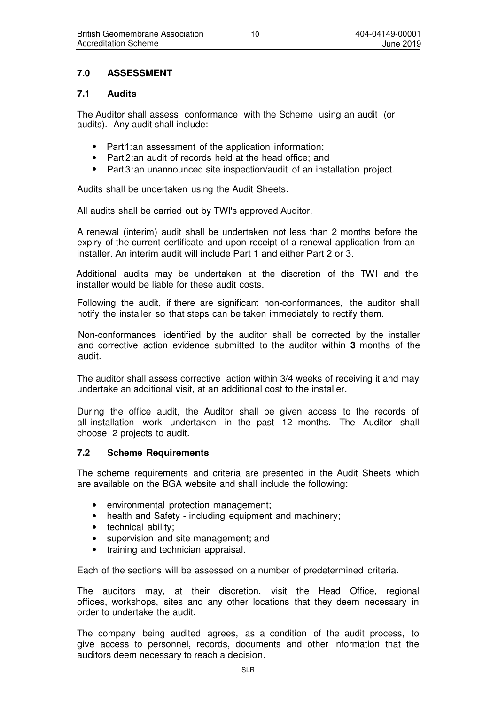# **7.0 ASSESSMENT**

### **7.1 Audits**

The Auditor shall assess conformance with the Scheme using an audit (or audits). Any audit shall include:

- Part 1: an assessment of the application information;
- Part 2:an audit of records held at the head office; and
- Part 3: an unannounced site inspection/audit of an installation project.

Audits shall be undertaken using the Audit Sheets.

All audits shall be carried out by TWI's approved Auditor.

A renewal (interim) audit shall be undertaken not less than 2 months before the expiry of the current certificate and upon receipt of a renewal application from an installer. An interim audit will include Part 1 and either Part 2 or 3.

Additional audits may be undertaken at the discretion of the TWI and the installer would be liable for these audit costs.

Following the audit, if there are significant non-conformances, the auditor shall notify the installer so that steps can be taken immediately to rectify them.

Non-conformances identified by the auditor shall be corrected by the installer and corrective action evidence submitted to the auditor within **3** months of the audit.

The auditor shall assess corrective action within 3/4 weeks of receiving it and may undertake an additional visit, at an additional cost to the installer.

During the office audit, the Auditor shall be given access to the records of all installation work undertaken in the past 12 months. The Auditor shall choose 2 projects to audit.

### **7.2 Scheme Requirements**

The scheme requirements and criteria are presented in the Audit Sheets which are available on the BGA website and shall include the following:

- environmental protection management;
- health and Safety including equipment and machinery;
- technical ability:
- supervision and site management; and
- training and technician appraisal.

Each of the sections will be assessed on a number of predetermined criteria.

The auditors may, at their discretion, visit the Head Office, regional offices, workshops, sites and any other locations that they deem necessary in order to undertake the audit.

The company being audited agrees, as a condition of the audit process, to give access to personnel, records, documents and other information that the auditors deem necessary to reach a decision.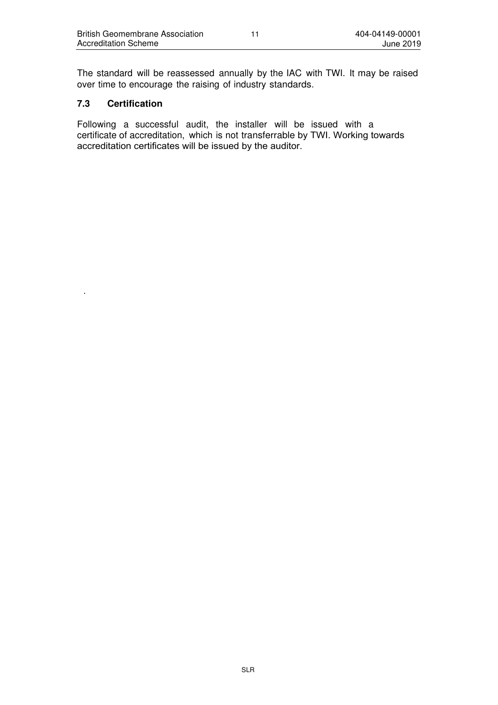The standard will be reassessed annually by the IAC with TWI. It may be raised over time to encourage the raising of industry standards.

### **7.3 Certification**

.

Following a successful audit, the installer will be issued with a certificate of accreditation, which is not transferrable by TWI. Working towards accreditation certificates will be issued by the auditor.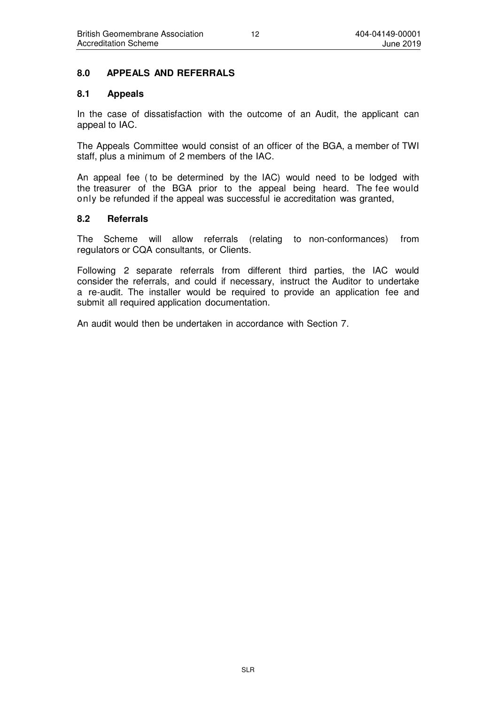### **8.0 APPEALS AND REFERRALS**

### **8.1 Appeals**

In the case of dissatisfaction with the outcome of an Audit, the applicant can appeal to IAC.

The Appeals Committee would consist of an officer of the BGA, a member of TWI staff, plus a minimum of 2 members of the IAC.

An appeal fee ( to be determined by the IAC) would need to be lodged with the treasurer of the BGA prior to the appeal being heard. The fee would only be refunded if the appeal was successful ie accreditation was granted,

### **8.2 Referrals**

The Scheme will allow referrals (relating to non-conformances) from regulators or CQA consultants, or Clients.

Following 2 separate referrals from different third parties, the IAC would consider the referrals, and could if necessary, instruct the Auditor to undertake a re-audit. The installer would be required to provide an application fee and submit all required application documentation.

An audit would then be undertaken in accordance with Section 7.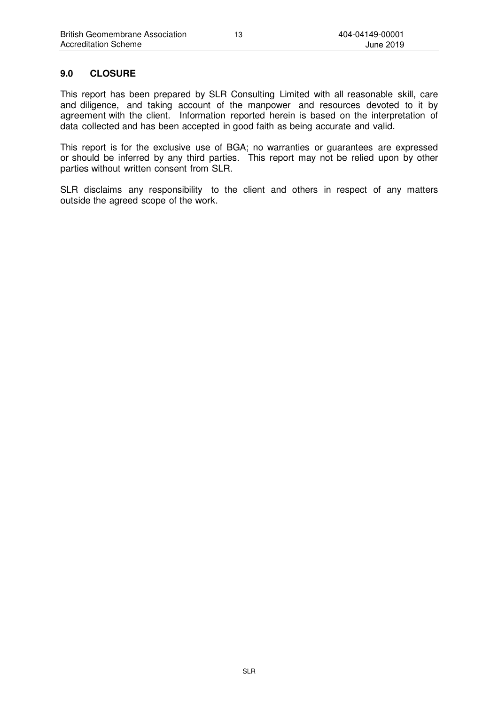# **9.0 CLOSURE**

This report has been prepared by SLR Consulting Limited with all reasonable skill, care and diligence, and taking account of the manpower and resources devoted to it by agreement with the client. Information reported herein is based on the interpretation of data collected and has been accepted in good faith as being accurate and valid.

This report is for the exclusive use of BGA; no warranties or guarantees are expressed or should be inferred by any third parties. This report may not be relied upon by other parties without written consent from SLR.

SLR disclaims any responsibility to the client and others in respect of any matters outside the agreed scope of the work.